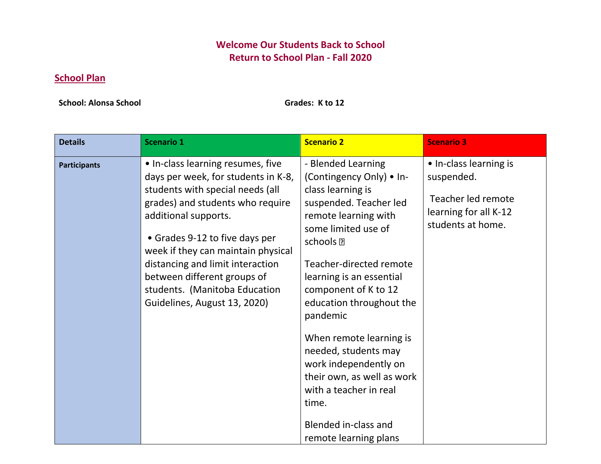## **Welcome Our Students Back to School Return to School Plan - Fall 2020**

## **School Plan**

**School: Alonsa School Grades: K to 12** 

| <b>Details</b>      | <b>Scenario 1</b>                                                                                                                                                                                                                                                                                                                                                                    | <b>Scenario 2</b>                                                                                                                                                                                                                                                                                                                                                                                                                                                                           | <b>Scenario 3</b>                                                                                        |
|---------------------|--------------------------------------------------------------------------------------------------------------------------------------------------------------------------------------------------------------------------------------------------------------------------------------------------------------------------------------------------------------------------------------|---------------------------------------------------------------------------------------------------------------------------------------------------------------------------------------------------------------------------------------------------------------------------------------------------------------------------------------------------------------------------------------------------------------------------------------------------------------------------------------------|----------------------------------------------------------------------------------------------------------|
| <b>Participants</b> | • In-class learning resumes, five<br>days per week, for students in K-8,<br>students with special needs (all<br>grades) and students who require<br>additional supports.<br>• Grades 9-12 to five days per<br>week if they can maintain physical<br>distancing and limit interaction<br>between different groups of<br>students. (Manitoba Education<br>Guidelines, August 13, 2020) | - Blended Learning<br>(Contingency Only) • In-<br>class learning is<br>suspended. Teacher led<br>remote learning with<br>some limited use of<br>schools <sup>[7]</sup><br>Teacher-directed remote<br>learning is an essential<br>component of K to 12<br>education throughout the<br>pandemic<br>When remote learning is<br>needed, students may<br>work independently on<br>their own, as well as work<br>with a teacher in real<br>time.<br>Blended in-class and<br>remote learning plans | • In-class learning is<br>suspended.<br>Teacher led remote<br>learning for all K-12<br>students at home. |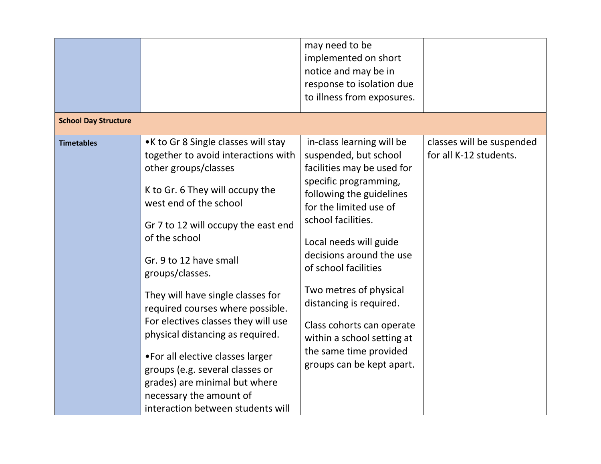|                             |                                                                                                                                                                                                                                                                                                                                                                                                                                                                                                                                                                                                   | may need to be<br>implemented on short<br>notice and may be in<br>response to isolation due<br>to illness from exposures.                                                                                                                                                                                                                                                                                                                  |                                                     |
|-----------------------------|---------------------------------------------------------------------------------------------------------------------------------------------------------------------------------------------------------------------------------------------------------------------------------------------------------------------------------------------------------------------------------------------------------------------------------------------------------------------------------------------------------------------------------------------------------------------------------------------------|--------------------------------------------------------------------------------------------------------------------------------------------------------------------------------------------------------------------------------------------------------------------------------------------------------------------------------------------------------------------------------------------------------------------------------------------|-----------------------------------------------------|
| <b>School Day Structure</b> |                                                                                                                                                                                                                                                                                                                                                                                                                                                                                                                                                                                                   |                                                                                                                                                                                                                                                                                                                                                                                                                                            |                                                     |
| <b>Timetables</b>           | •K to Gr 8 Single classes will stay<br>together to avoid interactions with<br>other groups/classes<br>K to Gr. 6 They will occupy the<br>west end of the school<br>Gr 7 to 12 will occupy the east end<br>of the school<br>Gr. 9 to 12 have small<br>groups/classes.<br>They will have single classes for<br>required courses where possible.<br>For electives classes they will use<br>physical distancing as required.<br>• For all elective classes larger<br>groups (e.g. several classes or<br>grades) are minimal but where<br>necessary the amount of<br>interaction between students will | in-class learning will be<br>suspended, but school<br>facilities may be used for<br>specific programming,<br>following the guidelines<br>for the limited use of<br>school facilities.<br>Local needs will guide<br>decisions around the use<br>of school facilities<br>Two metres of physical<br>distancing is required.<br>Class cohorts can operate<br>within a school setting at<br>the same time provided<br>groups can be kept apart. | classes will be suspended<br>for all K-12 students. |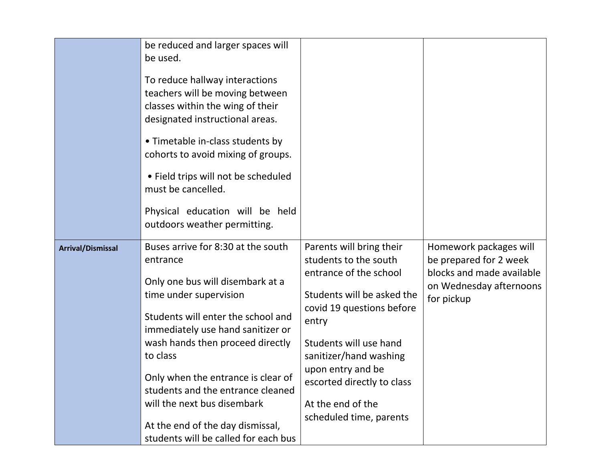|                          | be reduced and larger spaces will<br>be used.<br>To reduce hallway interactions<br>teachers will be moving between<br>classes within the wing of their<br>designated instructional areas.<br>• Timetable in-class students by<br>cohorts to avoid mixing of groups.<br>• Field trips will not be scheduled<br>must be cancelled.<br>Physical education will be held<br>outdoors weather permitting.                           |                                                                                                                                                                                                                                                                                                        |                                                                                                                        |
|--------------------------|-------------------------------------------------------------------------------------------------------------------------------------------------------------------------------------------------------------------------------------------------------------------------------------------------------------------------------------------------------------------------------------------------------------------------------|--------------------------------------------------------------------------------------------------------------------------------------------------------------------------------------------------------------------------------------------------------------------------------------------------------|------------------------------------------------------------------------------------------------------------------------|
| <b>Arrival/Dismissal</b> | Buses arrive for 8:30 at the south<br>entrance<br>Only one bus will disembark at a<br>time under supervision<br>Students will enter the school and<br>immediately use hand sanitizer or<br>wash hands then proceed directly<br>to class<br>Only when the entrance is clear of<br>students and the entrance cleaned<br>will the next bus disembark<br>At the end of the day dismissal,<br>students will be called for each bus | Parents will bring their<br>students to the south<br>entrance of the school<br>Students will be asked the<br>covid 19 questions before<br>entry<br>Students will use hand<br>sanitizer/hand washing<br>upon entry and be<br>escorted directly to class<br>At the end of the<br>scheduled time, parents | Homework packages will<br>be prepared for 2 week<br>blocks and made available<br>on Wednesday afternoons<br>for pickup |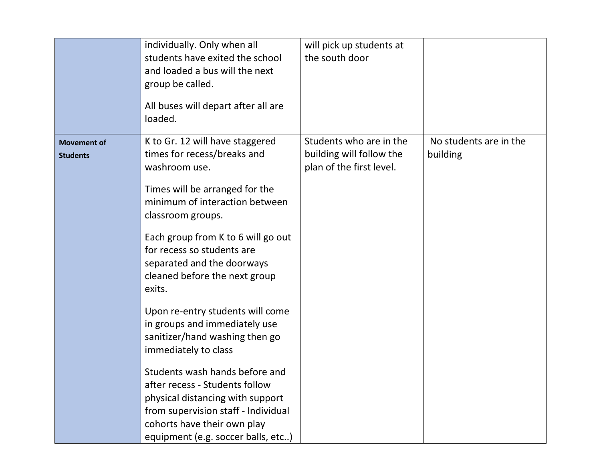|                                       | individually. Only when all<br>students have exited the school<br>and loaded a bus will the next<br>group be called.<br>All buses will depart after all are<br>loaded.                                           | will pick up students at<br>the south door                                      |                                    |
|---------------------------------------|------------------------------------------------------------------------------------------------------------------------------------------------------------------------------------------------------------------|---------------------------------------------------------------------------------|------------------------------------|
| <b>Movement of</b><br><b>Students</b> | K to Gr. 12 will have staggered<br>times for recess/breaks and<br>washroom use.                                                                                                                                  | Students who are in the<br>building will follow the<br>plan of the first level. | No students are in the<br>building |
|                                       | Times will be arranged for the<br>minimum of interaction between<br>classroom groups.                                                                                                                            |                                                                                 |                                    |
|                                       | Each group from K to 6 will go out<br>for recess so students are<br>separated and the doorways<br>cleaned before the next group<br>exits.                                                                        |                                                                                 |                                    |
|                                       | Upon re-entry students will come<br>in groups and immediately use<br>sanitizer/hand washing then go<br>immediately to class                                                                                      |                                                                                 |                                    |
|                                       | Students wash hands before and<br>after recess - Students follow<br>physical distancing with support<br>from supervision staff - Individual<br>cohorts have their own play<br>equipment (e.g. soccer balls, etc) |                                                                                 |                                    |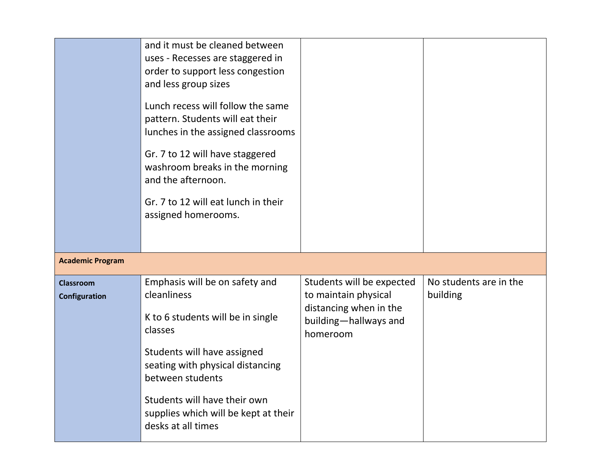|                                   | and it must be cleaned between<br>uses - Recesses are staggered in<br>order to support less congestion<br>and less group sizes<br>Lunch recess will follow the same<br>pattern. Students will eat their<br>lunches in the assigned classrooms<br>Gr. 7 to 12 will have staggered<br>washroom breaks in the morning<br>and the afternoon.<br>Gr. 7 to 12 will eat lunch in their<br>assigned homerooms. |                                                                                                                  |                                    |
|-----------------------------------|--------------------------------------------------------------------------------------------------------------------------------------------------------------------------------------------------------------------------------------------------------------------------------------------------------------------------------------------------------------------------------------------------------|------------------------------------------------------------------------------------------------------------------|------------------------------------|
| <b>Academic Program</b>           |                                                                                                                                                                                                                                                                                                                                                                                                        |                                                                                                                  |                                    |
| <b>Classroom</b><br>Configuration | Emphasis will be on safety and<br>cleanliness<br>K to 6 students will be in single<br>classes<br>Students will have assigned<br>seating with physical distancing<br>between students<br>Students will have their own<br>supplies which will be kept at their<br>desks at all times                                                                                                                     | Students will be expected<br>to maintain physical<br>distancing when in the<br>building-hallways and<br>homeroom | No students are in the<br>building |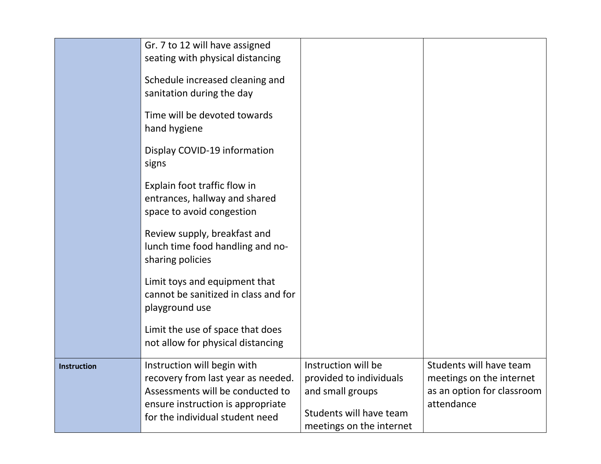|                    | Gr. 7 to 12 will have assigned<br>seating with physical distancing                                                                                                            |                                                                                                                           |                                                                                                 |
|--------------------|-------------------------------------------------------------------------------------------------------------------------------------------------------------------------------|---------------------------------------------------------------------------------------------------------------------------|-------------------------------------------------------------------------------------------------|
|                    | Schedule increased cleaning and<br>sanitation during the day                                                                                                                  |                                                                                                                           |                                                                                                 |
|                    | Time will be devoted towards<br>hand hygiene                                                                                                                                  |                                                                                                                           |                                                                                                 |
|                    | Display COVID-19 information<br>signs                                                                                                                                         |                                                                                                                           |                                                                                                 |
|                    | Explain foot traffic flow in<br>entrances, hallway and shared<br>space to avoid congestion                                                                                    |                                                                                                                           |                                                                                                 |
|                    | Review supply, breakfast and<br>lunch time food handling and no-<br>sharing policies                                                                                          |                                                                                                                           |                                                                                                 |
|                    | Limit toys and equipment that<br>cannot be sanitized in class and for<br>playground use                                                                                       |                                                                                                                           |                                                                                                 |
|                    | Limit the use of space that does<br>not allow for physical distancing                                                                                                         |                                                                                                                           |                                                                                                 |
| <b>Instruction</b> | Instruction will begin with<br>recovery from last year as needed.<br>Assessments will be conducted to<br>ensure instruction is appropriate<br>for the individual student need | Instruction will be<br>provided to individuals<br>and small groups<br>Students will have team<br>meetings on the internet | Students will have team<br>meetings on the internet<br>as an option for classroom<br>attendance |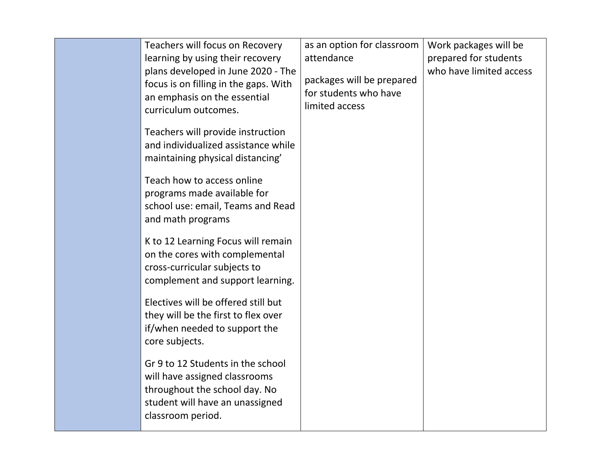| Teachers will focus on Recovery<br>learning by using their recovery<br>plans developed in June 2020 - The<br>focus is on filling in the gaps. With<br>an emphasis on the essential<br>curriculum outcomes. | as an option for classroom<br>attendance<br>packages will be prepared<br>for students who have<br>limited access | Work packages will be<br>prepared for students<br>who have limited access |
|------------------------------------------------------------------------------------------------------------------------------------------------------------------------------------------------------------|------------------------------------------------------------------------------------------------------------------|---------------------------------------------------------------------------|
| Teachers will provide instruction<br>and individualized assistance while<br>maintaining physical distancing'                                                                                               |                                                                                                                  |                                                                           |
| Teach how to access online<br>programs made available for<br>school use: email, Teams and Read<br>and math programs                                                                                        |                                                                                                                  |                                                                           |
| K to 12 Learning Focus will remain<br>on the cores with complemental<br>cross-curricular subjects to<br>complement and support learning.                                                                   |                                                                                                                  |                                                                           |
| Electives will be offered still but<br>they will be the first to flex over<br>if/when needed to support the<br>core subjects.                                                                              |                                                                                                                  |                                                                           |
| Gr 9 to 12 Students in the school<br>will have assigned classrooms<br>throughout the school day. No<br>student will have an unassigned<br>classroom period.                                                |                                                                                                                  |                                                                           |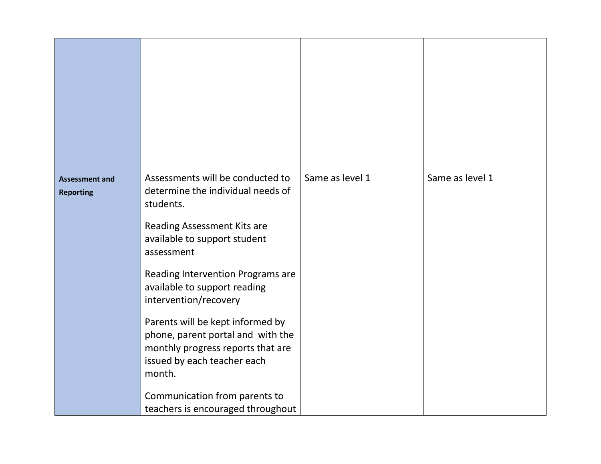| <b>Assessment and</b><br><b>Reporting</b> | Assessments will be conducted to<br>determine the individual needs of<br>students.                                                                  | Same as level 1 | Same as level 1 |
|-------------------------------------------|-----------------------------------------------------------------------------------------------------------------------------------------------------|-----------------|-----------------|
|                                           | Reading Assessment Kits are<br>available to support student<br>assessment                                                                           |                 |                 |
|                                           | Reading Intervention Programs are<br>available to support reading<br>intervention/recovery                                                          |                 |                 |
|                                           | Parents will be kept informed by<br>phone, parent portal and with the<br>monthly progress reports that are<br>issued by each teacher each<br>month. |                 |                 |
|                                           | Communication from parents to<br>teachers is encouraged throughout                                                                                  |                 |                 |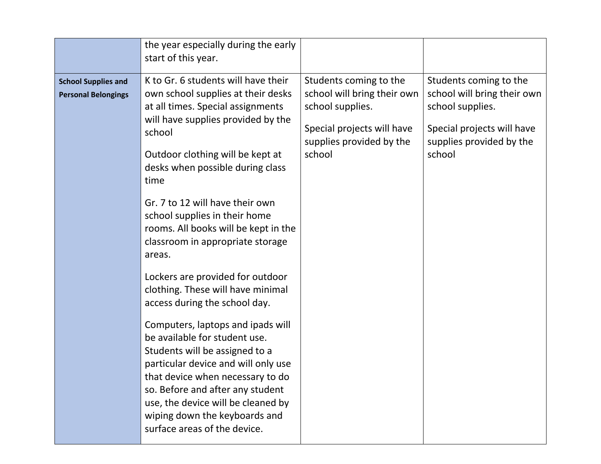| the year especially during the early<br>start of this year.                                                                                                                                                                                                                                                                                                                                                                                                                                                                                                                                                                                                                                                                                                                                                                                                                                                  |                                                                                                                                               |                                                                                                                                               |
|--------------------------------------------------------------------------------------------------------------------------------------------------------------------------------------------------------------------------------------------------------------------------------------------------------------------------------------------------------------------------------------------------------------------------------------------------------------------------------------------------------------------------------------------------------------------------------------------------------------------------------------------------------------------------------------------------------------------------------------------------------------------------------------------------------------------------------------------------------------------------------------------------------------|-----------------------------------------------------------------------------------------------------------------------------------------------|-----------------------------------------------------------------------------------------------------------------------------------------------|
| K to Gr. 6 students will have their<br><b>School Supplies and</b><br>own school supplies at their desks<br><b>Personal Belongings</b><br>at all times. Special assignments<br>will have supplies provided by the<br>school<br>Outdoor clothing will be kept at<br>desks when possible during class<br>time<br>Gr. 7 to 12 will have their own<br>school supplies in their home<br>rooms. All books will be kept in the<br>classroom in appropriate storage<br>areas.<br>Lockers are provided for outdoor<br>clothing. These will have minimal<br>access during the school day.<br>Computers, laptops and ipads will<br>be available for student use.<br>Students will be assigned to a<br>particular device and will only use<br>that device when necessary to do<br>so. Before and after any student<br>use, the device will be cleaned by<br>wiping down the keyboards and<br>surface areas of the device. | Students coming to the<br>school will bring their own<br>school supplies.<br>Special projects will have<br>supplies provided by the<br>school | Students coming to the<br>school will bring their own<br>school supplies.<br>Special projects will have<br>supplies provided by the<br>school |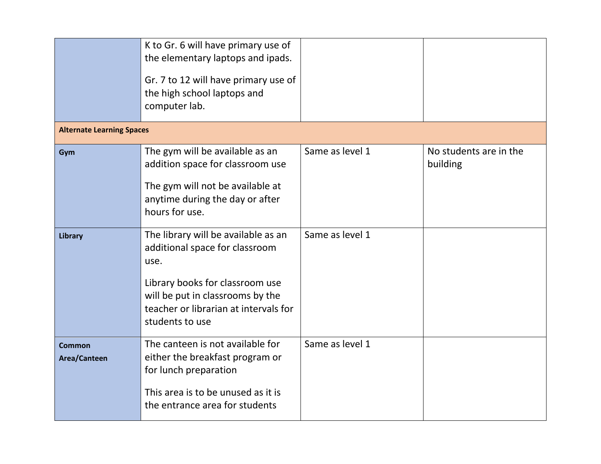|                                  | K to Gr. 6 will have primary use of<br>the elementary laptops and ipads.<br>Gr. 7 to 12 will have primary use of<br>the high school laptops and<br>computer lab.                                                 |                 |                                    |
|----------------------------------|------------------------------------------------------------------------------------------------------------------------------------------------------------------------------------------------------------------|-----------------|------------------------------------|
| <b>Alternate Learning Spaces</b> |                                                                                                                                                                                                                  |                 |                                    |
| Gym                              | The gym will be available as an<br>addition space for classroom use<br>The gym will not be available at<br>anytime during the day or after<br>hours for use.                                                     | Same as level 1 | No students are in the<br>building |
| Library                          | The library will be available as an<br>additional space for classroom<br>use.<br>Library books for classroom use<br>will be put in classrooms by the<br>teacher or librarian at intervals for<br>students to use | Same as level 1 |                                    |
| <b>Common</b><br>Area/Canteen    | The canteen is not available for<br>either the breakfast program or<br>for lunch preparation<br>This area is to be unused as it is<br>the entrance area for students                                             | Same as level 1 |                                    |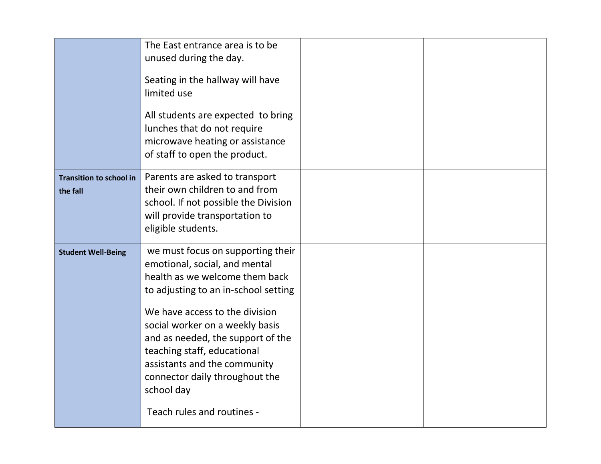|                                | The East entrance area is to be<br>unused during the day.<br>Seating in the hallway will have<br>limited use<br>All students are expected to bring<br>lunches that do not require<br>microwave heating or assistance<br>of staff to open the product. |  |
|--------------------------------|-------------------------------------------------------------------------------------------------------------------------------------------------------------------------------------------------------------------------------------------------------|--|
| <b>Transition to school in</b> | Parents are asked to transport                                                                                                                                                                                                                        |  |
| the fall                       | their own children to and from<br>school. If not possible the Division<br>will provide transportation to<br>eligible students.                                                                                                                        |  |
| <b>Student Well-Being</b>      | we must focus on supporting their<br>emotional, social, and mental                                                                                                                                                                                    |  |
|                                | health as we welcome them back                                                                                                                                                                                                                        |  |
|                                | to adjusting to an in-school setting                                                                                                                                                                                                                  |  |
|                                | We have access to the division                                                                                                                                                                                                                        |  |
|                                | social worker on a weekly basis<br>and as needed, the support of the                                                                                                                                                                                  |  |
|                                | teaching staff, educational                                                                                                                                                                                                                           |  |
|                                | assistants and the community<br>connector daily throughout the                                                                                                                                                                                        |  |
|                                | school day                                                                                                                                                                                                                                            |  |
|                                | Teach rules and routines -                                                                                                                                                                                                                            |  |